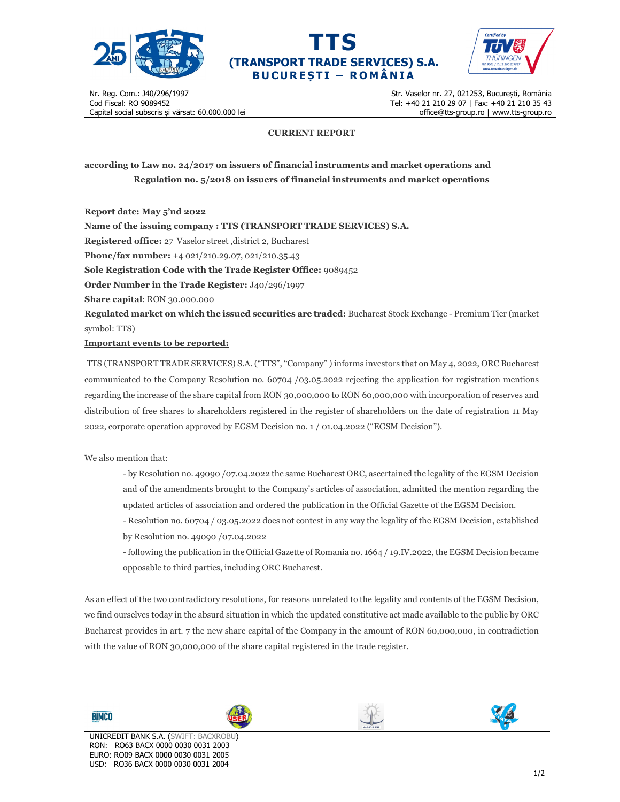





Nr. Reg. Com.: J40/296/1997 Cod Fiscal: RO 9089452 Capital social subscris și vărsat: 60.000.000 lei

Str. Vaselor nr. 27, 021253, București, România Tel: +40 21 210 29 07 | Fax: +40 21 210 35 43 office@tts-group.ro | www.tts-group.ro

## **CURRENT REPORT**

**according to Law no. 24/2017 on issuers of financial instruments and market operations and Regulation no. 5/2018 on issuers of financial instruments and market operations** 

**Report date: May 5'nd 2022**

**Name of the issuing company : TTS (TRANSPORT TRADE SERVICES) S.A. Registered office:** 27 Vaselor street ,district 2, Bucharest **Phone/fax number:** +4 021/210.29.07, 021/210.35.43 **Sole Registration Code with the Trade Register Office:** 9089452 **Order Number in the Trade Register:** J40/296/1997 **Share capital**: RON 30.000.000 **Regulated market on which the issued securities are traded:** Bucharest Stock Exchange - Premium Tier (market symbol: TTS) **Important events to be reported:**

TTS (TRANSPORT TRADE SERVICES) S.A. ("TTS", "Company" ) informs investors that on May 4, 2022, ORC Bucharest communicated to the Company Resolution no. 60704 /03.05.2022 rejecting the application for registration mentions regarding the increase of the share capital from RON 30,000,000 to RON 60,000,000 with incorporation of reserves and distribution of free shares to shareholders registered in the register of shareholders on the date of registration 11 May 2022, corporate operation approved by EGSM Decision no. 1 / 01.04.2022 ("EGSM Decision").

We also mention that:

- by Resolution no. 49090 /07.04.2022 the same Bucharest ORC, ascertained the legality of the EGSM Decision and of the amendments brought to the Company's articles of association, admitted the mention regarding the updated articles of association and ordered the publication in the Official Gazette of the EGSM Decision.

- Resolution no. 60704 / 03.05.2022 does not contest in any way the legality of the EGSM Decision, established by Resolution no. 49090 /07.04.2022

- following the publication in the Official Gazette of Romania no. 1664 / 19.IV.2022, the EGSM Decision became opposable to third parties, including ORC Bucharest.

As an effect of the two contradictory resolutions, for reasons unrelated to the legality and contents of the EGSM Decision, we find ourselves today in the absurd situation in which the updated constitutive act made available to the public by ORC Bucharest provides in art. 7 the new share capital of the Company in the amount of RON 60,000,000, in contradiction with the value of RON 30,000,000 of the share capital registered in the trade register.

**BIMCO**